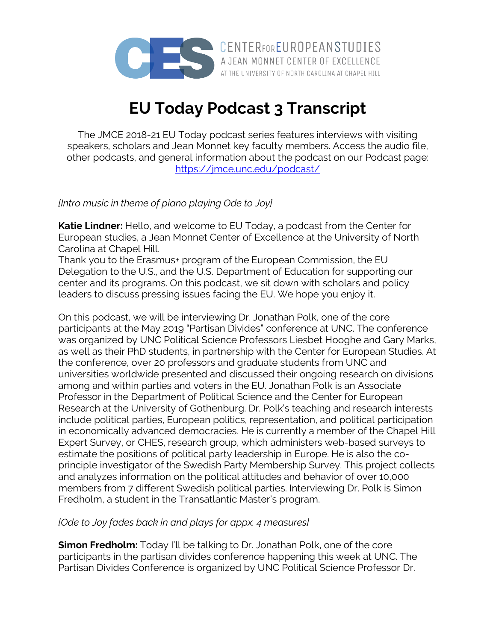

**EU Today Podcast 3 Transcript**

The JMCE 2018-21 EU Today podcast series features interviews with visiting speakers, scholars and Jean Monnet key faculty members. Access the audio file, other podcasts, and general information about the podcast on our Podcast page: https://jmce.unc.edu/podcast/

*[Intro music in theme of piano playing Ode to Joy]*

**Katie Lindner:** Hello, and welcome to EU Today, a podcast from the Center for European studies, a Jean Monnet Center of Excellence at the University of North Carolina at Chapel Hill.

Thank you to the Erasmus+ program of the European Commission, the EU Delegation to the U.S., and the U.S. Department of Education for supporting our center and its programs. On this podcast, we sit down with scholars and policy leaders to discuss pressing issues facing the EU. We hope you enjoy it.

On this podcast, we will be interviewing Dr. Jonathan Polk, one of the core participants at the May 2019 "Partisan Divides" conference at UNC. The conference was organized by UNC Political Science Professors Liesbet Hooghe and Gary Marks, as well as their PhD students, in partnership with the Center for European Studies. At the conference, over 20 professors and graduate students from UNC and universities worldwide presented and discussed their ongoing research on divisions among and within parties and voters in the EU. Jonathan Polk is an Associate Professor in the Department of Political Science and the Center for European Research at the University of Gothenburg. Dr. Polk's teaching and research interests include political parties, European politics, representation, and political participation in economically advanced democracies. He is currently a member of the Chapel Hill Expert Survey, or CHES, research group, which administers web-based surveys to estimate the positions of political party leadership in Europe. He is also the coprinciple investigator of the Swedish Party Membership Survey. This project collects and analyzes information on the political attitudes and behavior of over 10,000 members from 7 different Swedish political parties. Interviewing Dr. Polk is Simon Fredholm, a student in the Transatlantic Master's program.

## *[Ode to Joy fades back in and plays for appx. 4 measures]*

**Simon Fredholm:** Today I'll be talking to Dr. Jonathan Polk, one of the core participants in the partisan divides conference happening this week at UNC. The Partisan Divides Conference is organized by UNC Political Science Professor Dr.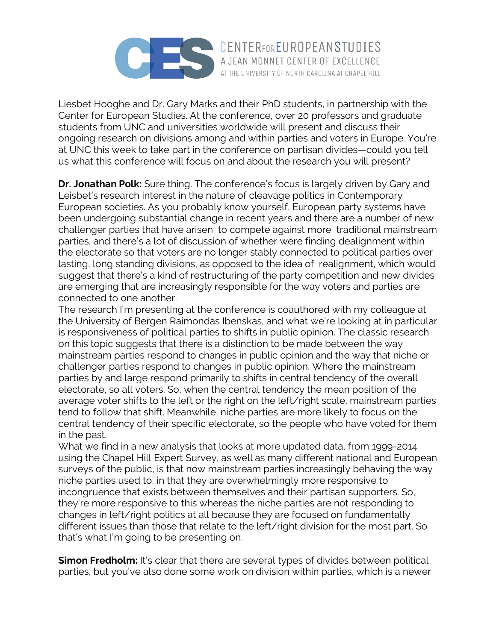

Liesbet Hooghe and Dr. Gary Marks and their PhD students, in partnership with the Center for European Studies. At the conference, over 20 professors and graduate students from UNC and universities worldwide will present and discuss their ongoing research on divisions among and within parties and voters in Europe. You're at UNC this week to take part in the conference on partisan divides—could you tell us what this conference will focus on and about the research you will present?

AT THE UNIVERSITY OF NORTH CAROLINA AT CHAPEL HILL

**Dr. Jonathan Polk:** Sure thing. The conference's focus is largely driven by Gary and Leisbet's research interest in the nature of cleavage politics in Contemporary European societies. As you probably know yourself, European party systems have been undergoing substantial change in recent years and there are a number of new challenger parties that have arisen to compete against more traditional mainstream parties, and there's a lot of discussion of whether were finding dealignment within the electorate so that voters are no longer stably connected to political parties over lasting, long standing divisions, as opposed to the idea of realignment, which would suggest that there's a kind of restructuring of the party competition and new divides are emerging that are increasingly responsible for the way voters and parties are connected to one another.

The research I'm presenting at the conference is coauthored with my colleague at the University of Bergen Raimondas Ibenskas, and what we're looking at in particular is responsiveness of political parties to shifts in public opinion. The classic research on this topic suggests that there is a distinction to be made between the way mainstream parties respond to changes in public opinion and the way that niche or challenger parties respond to changes in public opinion. Where the mainstream parties by and large respond primarily to shifts in central tendency of the overall electorate, so all voters. So, when the central tendency the mean position of the average voter shifts to the left or the right on the left/right scale, mainstream parties tend to follow that shift. Meanwhile, niche parties are more likely to focus on the central tendency of their specific electorate, so the people who have voted for them in the past.

What we find in a new analysis that looks at more updated data, from 1999-2014 using the Chapel Hill Expert Survey, as well as many different national and European surveys of the public, is that now mainstream parties increasingly behaving the way niche parties used to, in that they are overwhelmingly more responsive to incongruence that exists between themselves and their partisan supporters. So, they're more responsive to this whereas the niche parties are not responding to changes in left/right politics at all because they are focused on fundamentally different issues than those that relate to the left/right division for the most part. So that's what I'm going to be presenting on.

**Simon Fredholm:** It's clear that there are several types of divides between political parties, but you've also done some work on division within parties, which is a newer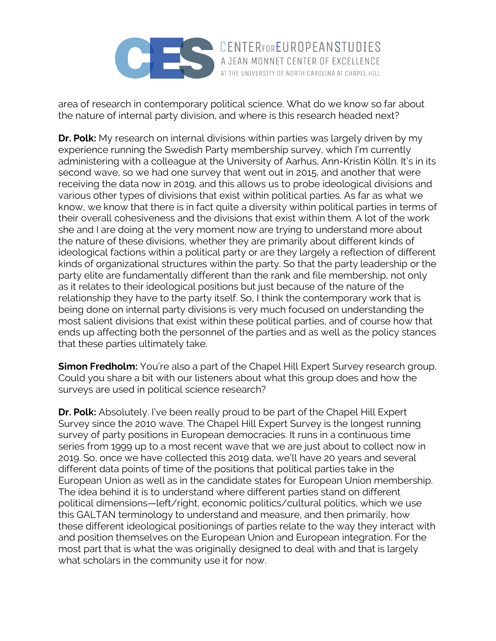

area of research in contemporary political science. What do we know so far about the nature of internal party division, and where is this research headed next?

**Dr. Polk:** My research on internal divisions within parties was largely driven by my experience running the Swedish Party membership survey, which I'm currently administering with a colleague at the University of Aarhus, Ann-Kristin Kölln. It's in its second wave, so we had one survey that went out in 2015, and another that were receiving the data now in 2019, and this allows us to probe ideological divisions and various other types of divisions that exist within political parties. As far as what we know, we know that there is in fact quite a diversity within political parties in terms of their overall cohesiveness and the divisions that exist within them. A lot of the work she and I are doing at the very moment now are trying to understand more about the nature of these divisions, whether they are primarily about different kinds of ideological factions within a political party or are they largely a reflection of different kinds of organizational structures within the party. So that the party leadership or the party elite are fundamentally different than the rank and file membership, not only as it relates to their ideological positions but just because of the nature of the relationship they have to the party itself. So, I think the contemporary work that is being done on internal party divisions is very much focused on understanding the most salient divisions that exist within these political parties, and of course how that ends up affecting both the personnel of the parties and as well as the policy stances that these parties ultimately take.

**Simon Fredholm:** You're also a part of the Chapel Hill Expert Survey research group. Could you share a bit with our listeners about what this group does and how the surveys are used in political science research?

**Dr. Polk:** Absolutely. I've been really proud to be part of the Chapel Hill Expert Survey since the 2010 wave. The Chapel Hill Expert Survey is the longest running survey of party positions in European democracies. It runs in a continuous time series from 1999 up to a most recent wave that we are just about to collect now in 2019. So, once we have collected this 2019 data, we'll have 20 years and several different data points of time of the positions that political parties take in the European Union as well as in the candidate states for European Union membership. The idea behind it is to understand where different parties stand on different political dimensions—left/right, economic politics/cultural politics, which we use this GALTAN terminology to understand and measure, and then primarily, how these different ideological positionings of parties relate to the way they interact with and position themselves on the European Union and European integration. For the most part that is what the was originally designed to deal with and that is largely what scholars in the community use it for now.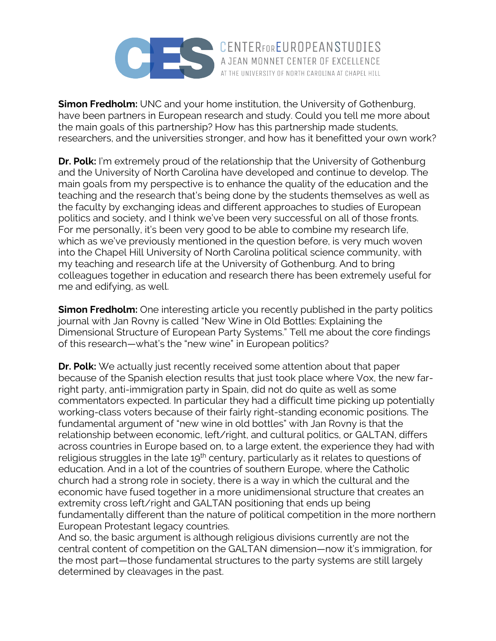

**Simon Fredholm:** UNC and your home institution, the University of Gothenburg, have been partners in European research and study. Could you tell me more about the main goals of this partnership? How has this partnership made students, researchers, and the universities stronger, and how has it benefitted your own work?

**Dr. Polk:** I'm extremely proud of the relationship that the University of Gothenburg and the University of North Carolina have developed and continue to develop. The main goals from my perspective is to enhance the quality of the education and the teaching and the research that's being done by the students themselves as well as the faculty by exchanging ideas and different approaches to studies of European politics and society, and I think we've been very successful on all of those fronts. For me personally, it's been very good to be able to combine my research life, which as we've previously mentioned in the question before, is very much woven into the Chapel Hill University of North Carolina political science community, with my teaching and research life at the University of Gothenburg. And to bring colleagues together in education and research there has been extremely useful for me and edifying, as well.

**Simon Fredholm:** One interesting article you recently published in the party politics journal with Jan Rovny is called "New Wine in Old Bottles: Explaining the Dimensional Structure of European Party Systems." Tell me about the core findings of this research—what's the "new wine" in European politics?

**Dr. Polk:** We actually just recently received some attention about that paper because of the Spanish election results that just took place where Vox, the new farright party, anti-immigration party in Spain, did not do quite as well as some commentators expected. In particular they had a difficult time picking up potentially working-class voters because of their fairly right-standing economic positions. The fundamental argument of "new wine in old bottles" with Jan Rovny is that the relationship between economic, left/right, and cultural politics, or GALTAN, differs across countries in Europe based on, to a large extent, the experience they had with religious struggles in the late 19<sup>th</sup> century, particularly as it relates to questions of education. And in a lot of the countries of southern Europe, where the Catholic church had a strong role in society, there is a way in which the cultural and the economic have fused together in a more unidimensional structure that creates an extremity cross left/right and GALTAN positioning that ends up being fundamentally different than the nature of political competition in the more northern European Protestant legacy countries.

And so, the basic argument is although religious divisions currently are not the central content of competition on the GALTAN dimension—now it's immigration, for the most part—those fundamental structures to the party systems are still largely determined by cleavages in the past.